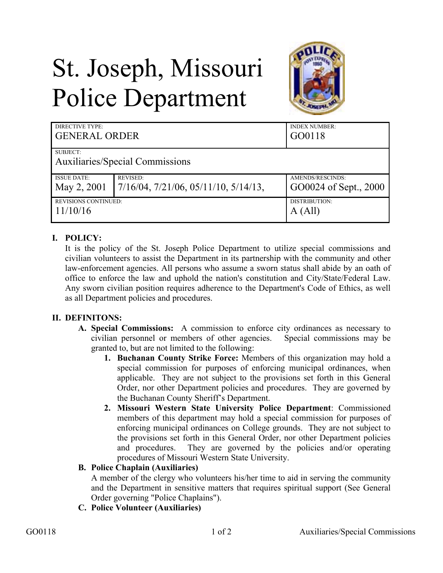# St. Joseph, Missouri Police Department



| DIRECTIVE TYPE:<br><b>GENERAL ORDER</b> |                                                  | <b>INDEX NUMBER:</b><br>GO0118 |
|-----------------------------------------|--------------------------------------------------|--------------------------------|
| SUBJECT:                                |                                                  |                                |
| Auxiliaries/Special Commissions         |                                                  |                                |
| <b>ISSUE DATE:</b>                      | <b>REVISED:</b>                                  | AMENDS/RESCINDS:               |
| May 2, 2001                             | $7/16/04$ , $7/21/06$ , $05/11/10$ , $5/14/13$ , | GO0024 of Sept., 2000          |
| <b>REVISIONS CONTINUED:</b>             |                                                  | DISTRIBUTION:                  |
| 11/10/16                                |                                                  | A (All)                        |

## **I. POLICY:**

It is the policy of the St. Joseph Police Department to utilize special commissions and civilian volunteers to assist the Department in its partnership with the community and other law-enforcement agencies. All persons who assume a sworn status shall abide by an oath of office to enforce the law and uphold the nation's constitution and City/State/Federal Law. Any sworn civilian position requires adherence to the Department's Code of Ethics, as well as all Department policies and procedures.

### **II. DEFINITONS:**

- **A. Special Commissions:** A commission to enforce city ordinances as necessary to civilian personnel or members of other agencies.Special commissions may be granted to, but are not limited to the following:
	- **1. Buchanan County Strike Force:** Members of this organization may hold a special commission for purposes of enforcing municipal ordinances, when applicable. They are not subject to the provisions set forth in this General Order, nor other Department policies and procedures. They are governed by the Buchanan County Sheriff's Department.
	- **2. Missouri Western State University Police Department**: Commissioned members of this department may hold a special commission for purposes of enforcing municipal ordinances on College grounds. They are not subject to the provisions set forth in this General Order, nor other Department policies and procedures. They are governed by the policies and/or operating procedures of Missouri Western State University.

### **B. Police Chaplain (Auxiliaries)**

A member of the clergy who volunteers his/her time to aid in serving the community and the Department in sensitive matters that requires spiritual support (See General Order governing "Police Chaplains").

**C. Police Volunteer (Auxiliaries)**